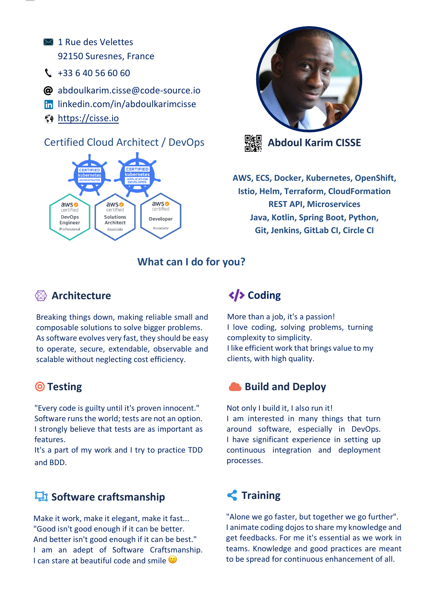- $\boxtimes$  1 Rue des Velettes 92150 Suresnes, France
- $\binom{1}{2}$  +33 6 40 56 60 60
- @ abdoulkarim.cisse@code-source.io
- lin linkedin.com/in/abdoulkarimcisse
- https://cisse.io

## Certified Cloud Architect / DevOps







**AWS, ECS, Docker, Kubernetes, OpenShift, Istio, Helm, Terraform, CloudFormation REST API, Microservices Java, Kotlin, Spring Boot, Python, Git, Jenkins, GitLab CI, Circle CI**

**What can I do for you?**

## **Architecture**

Breaking things down, making reliable small and composable solutions to solve bigger problems. As software evolves very fast, they should be easy to operate, secure, extendable, observable and scalable without neglecting cost efficiency.

## **Testing**

"Every code is guilty until it's proven innocent." Software runs the world; tests are not an option. I strongly believe that tests are as important as features.

It's a part of my work and I try to practice TDD and BDD.

## *<u><b>F</u>* Software craftsmanship

Make it work, make it elegant, make it fast... "Good isn't good enough if it can be better. And better isn't good enough if it can be best." I am an adept of Software Craftsmanship. I can stare at beautiful code and smile  $\mathbb{C}$ 

# **Coding**

More than a job, it's a passion! I love coding, solving problems, turning complexity to simplicity. I like efficient work that brings value to my clients, with high quality.

### **Build and Deploy**

Not only I build it, I also run it! I am interested in many things that turn around software, especially in DevOps. I have significant experience in setting up continuous integration and deployment processes.

# **Training**

"Alone we go faster, but together we go further". I animate coding dojos to share my knowledge and get feedbacks. For me it's essential as we work in teams. Knowledge and good practices are meant to be spread for continuous enhancement of all.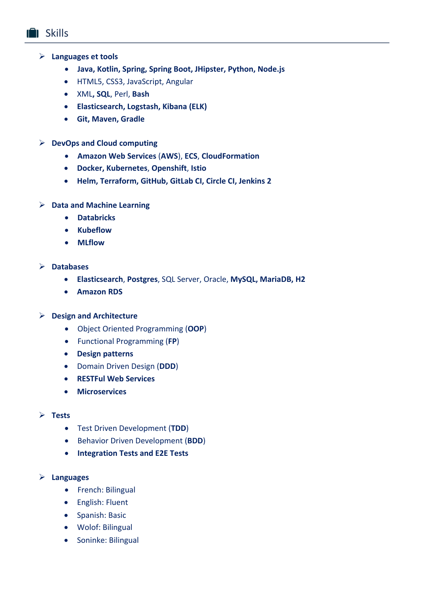- Ø **Languages et tools**
	- **Java, Kotlin, Spring, Spring Boot, JHipster, Python, Node.js**
	- HTML5, CSS3, JavaScript, Angular
	- XML**, SQL**, Perl, **Bash**
	- **Elasticsearch, Logstash, Kibana (ELK)**
	- **Git, Maven, Gradle**
- Ø **DevOps and Cloud computing**
	- **Amazon Web Services** (**AWS**), **ECS**, **CloudFormation**
	- **Docker, Kubernetes**, **Openshift**, **Istio**
	- **Helm, Terraform, GitHub, GitLab CI, Circle CI, Jenkins 2**
- Ø **Data and Machine Learning**
	- **Databricks**
	- **Kubeflow**
	- **MLflow**
- Ø **Databases**
	- **Elasticsearch**, **Postgres**, SQL Server, Oracle, **MySQL, MariaDB, H2**
	- **Amazon RDS**

#### Ø **Design and Architecture**

- Object Oriented Programming (**OOP**)
- Functional Programming (**FP**)
- **Design patterns**
- Domain Driven Design (**DDD**)
- **RESTFul Web Services**
- **Microservices**

#### Ø **Tests**

- Test Driven Development (**TDD**)
- Behavior Driven Development (**BDD**)
- **Integration Tests and E2E Tests**

#### Ø **Languages**

- French: Bilingual
- English: Fluent
- Spanish: Basic
- Wolof: Bilingual
- Soninke: Bilingual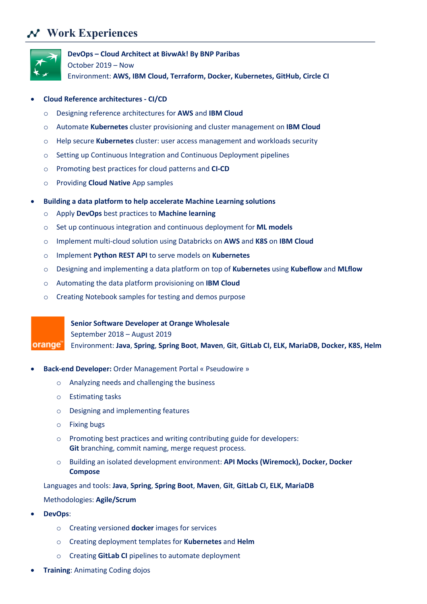## **Work Experiences**



**DevOps – Cloud Architect at BivwAk! By BNP Paribas**

October 2019 – Now

Environment: **AWS, IBM Cloud, Terraform, Docker, Kubernetes, GitHub, Circle CI**

#### • **Cloud Reference architectures - CI/CD**

- o Designing reference architectures for **AWS** and **IBM Cloud**
- o Automate **Kubernetes** cluster provisioning and cluster management on **IBM Cloud**
- o Help secure **Kubernetes** cluster: user access management and workloads security
- o Setting up Continuous Integration and Continuous Deployment pipelines
- o Promoting best practices for cloud patterns and **CI-CD**
- o Providing **Cloud Native** App samples
- **Building a data platform to help accelerate Machine Learning solutions**
	- o Apply **DevOps** best practices to **Machine learning**
	- o Set up continuous integration and continuous deployment for **ML models**
	- o Implement multi-cloud solution using Databricks on **AWS** and **K8S** on **IBM Cloud**
	- o Implement **Python REST API** to serve models on **Kubernetes**
	- o Designing and implementing a data platform on top of **Kubernetes** using **Kubeflow** and **MLflow**
	- o Automating the data platform provisioning on **IBM Cloud**
	- o Creating Notebook samples for testing and demos purpose

**Senior Software Developer at Orange Wholesale**

September 2018 – August 2019

orange Environment: **Java**, **Spring**, **Spring Boot**, **Maven**, **Git**, **GitLab CI, ELK, MariaDB, Docker, K8S, Helm**

- **Back-end Developer:** Order Management Portal « Pseudowire »
	- o Analyzing needs and challenging the business
	- o Estimating tasks
	- o Designing and implementing features
	- o Fixing bugs
	- $\circ$  Promoting best practices and writing contributing guide for developers: **Git** branching, commit naming, merge request process.
	- o Building an isolated development environment: **API Mocks (Wiremock), Docker, Docker Compose**

Languages and tools: **Java**, **Spring**, **Spring Boot**, **Maven**, **Git**, **GitLab CI, ELK, MariaDB**

#### Methodologies: **Agile/Scrum**

- **DevOps**:
	- o Creating versioned **docker** images for services
	- o Creating deployment templates for **Kubernetes** and **Helm**
	- o Creating **GitLab CI** pipelines to automate deployment
- **Training**: Animating Coding dojos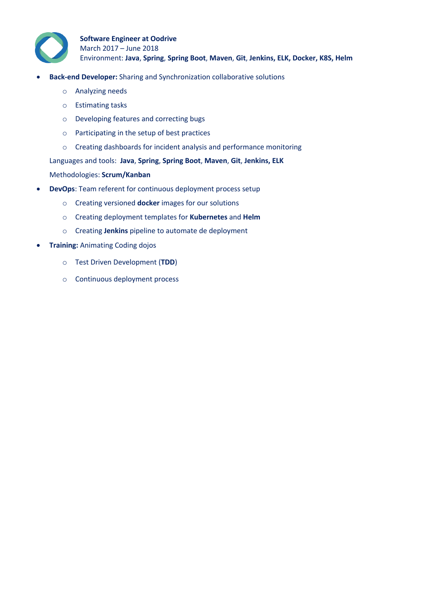

- **Back-end Developer:** Sharing and Synchronization collaborative solutions
	- o Analyzing needs
	- o Estimating tasks
	- o Developing features and correcting bugs
	- o Participating in the setup of best practices
	- o Creating dashboards for incident analysis and performance monitoring

Languages and tools: **Java**, **Spring**, **Spring Boot**, **Maven**, **Git**, **Jenkins, ELK**

#### Methodologies: **Scrum/Kanban**

- **DevOps**: Team referent for continuous deployment process setup
	- o Creating versioned **docker** images for our solutions
	- o Creating deployment templates for **Kubernetes** and **Helm**
	- o Creating **Jenkins** pipeline to automate de deployment
- **Training:** Animating Coding dojos
	- o Test Driven Development (**TDD**)
	- o Continuous deployment process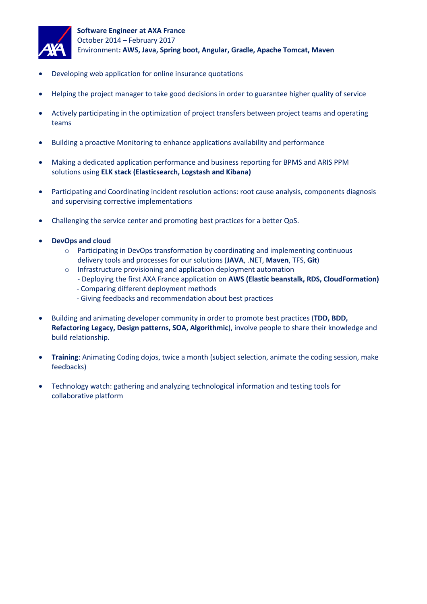

- Developing web application for online insurance quotations
- Helping the project manager to take good decisions in order to guarantee higher quality of service
- Actively participating in the optimization of project transfers between project teams and operating teams
- Building a proactive Monitoring to enhance applications availability and performance
- Making a dedicated application performance and business reporting for BPMS and ARIS PPM solutions using **ELK stack (Elasticsearch, Logstash and Kibana)**
- Participating and Coordinating incident resolution actions: root cause analysis, components diagnosis and supervising corrective implementations
- Challenging the service center and promoting best practices for a better QoS.
- **DevOps and cloud** 
	- $\circ$  Participating in DevOps transformation by coordinating and implementing continuous delivery tools and processes for our solutions (**JAVA**, .NET, **Maven**, TFS, **Git**)
	- o Infrastructure provisioning and application deployment automation
		- Deploying the first AXA France application on **AWS (Elastic beanstalk, RDS, CloudFormation)**
		- Comparing different deployment methods
		- Giving feedbacks and recommendation about best practices
- Building and animating developer community in order to promote best practices (**TDD, BDD, Refactoring Legacy, Design patterns, SOA, Algorithmic**), involve people to share their knowledge and build relationship.
- **Training**: Animating Coding dojos, twice a month (subject selection, animate the coding session, make feedbacks)
- Technology watch: gathering and analyzing technological information and testing tools for collaborative platform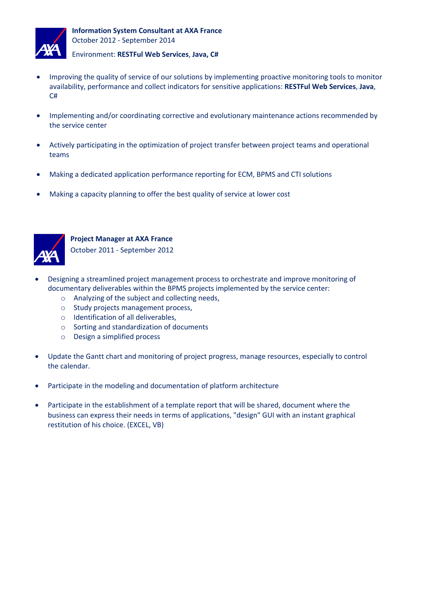

- Improving the quality of service of our solutions by implementing proactive monitoring tools to monitor availability, performance and collect indicators for sensitive applications: **RESTFul Web Services**, **Java**, C#
- Implementing and/or coordinating corrective and evolutionary maintenance actions recommended by the service center
- Actively participating in the optimization of project transfer between project teams and operational teams
- Making a dedicated application performance reporting for ECM, BPMS and CTI solutions
- Making a capacity planning to offer the best quality of service at lower cost



**Project Manager at AXA France**

October 2011 - September 2012

- Designing a streamlined project management process to orchestrate and improve monitoring of documentary deliverables within the BPMS projects implemented by the service center:
	- o Analyzing of the subject and collecting needs,
	- o Study projects management process,
	- o Identification of all deliverables,
	- o Sorting and standardization of documents
	- o Design a simplified process
- Update the Gantt chart and monitoring of project progress, manage resources, especially to control the calendar.
- Participate in the modeling and documentation of platform architecture
- Participate in the establishment of a template report that will be shared, document where the business can express their needs in terms of applications, "design" GUI with an instant graphical restitution of his choice. (EXCEL, VB)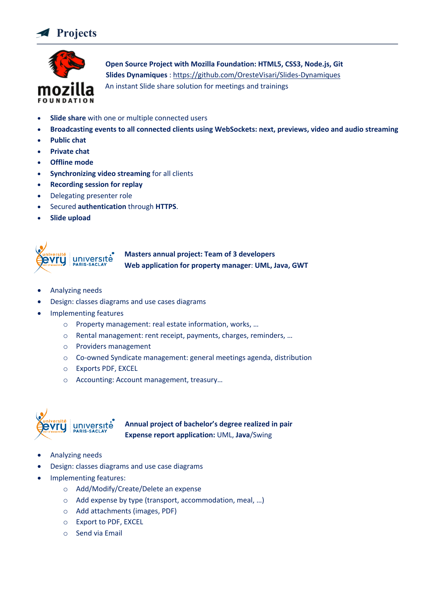



 **Open Source Project with Mozilla Foundation: HTML5, CSS3, Node.js, Git Slides Dynamiques** : https://github.com/OresteVisari/Slides-Dynamiques An instant Slide share solution for meetings and trainings

- **Slide share** with one or multiple connected users
- **Broadcasting events to all connected clients using WebSockets: next, previews, video and audio streaming**
- **Public chat**
- **Private chat**
- **Offline mode**
- **Synchronizing video streaming** for all clients
- **Recording session for replay**
- Delegating presenter role
- Secured **authentication** through **HTTPS**.
- **Slide upload**



- Analyzing needs
- Design: classes diagrams and use cases diagrams
- Implementing features
	- o Property management: real estate information, works, …
	- o Rental management: rent receipt, payments, charges, reminders, …
	- o Providers management
	- o Co-owned Syndicate management: general meetings agenda, distribution
	- o Exports PDF, EXCEL
	- o Accounting: Account management, treasury…



**Annual project of bachelor's degree realized in pair Expense report application:** UML, **Java**/Swing

- Analyzing needs
- Design: classes diagrams and use case diagrams
- Implementing features:
	- o Add/Modify/Create/Delete an expense
	- o Add expense by type (transport, accommodation, meal, …)
	- o Add attachments (images, PDF)
	- o Export to PDF, EXCEL
	- o Send via Email